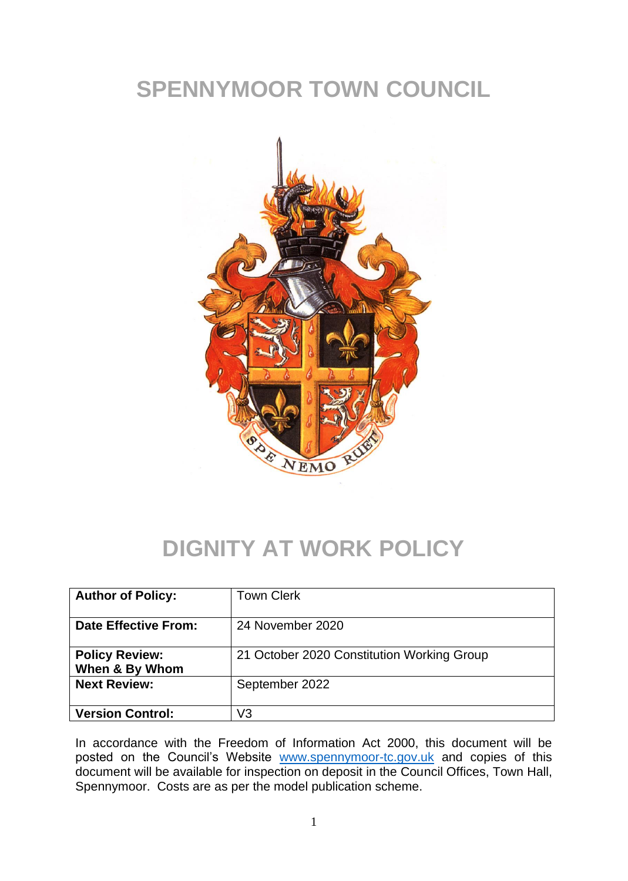# **SPENNYMOOR TOWN COUNCIL**



## **DIGNITY AT WORK POLICY**

| <b>Author of Policy:</b>                | <b>Town Clerk</b>                          |
|-----------------------------------------|--------------------------------------------|
| <b>Date Effective From:</b>             | 24 November 2020                           |
| <b>Policy Review:</b><br>When & By Whom | 21 October 2020 Constitution Working Group |
| <b>Next Review:</b>                     | September 2022                             |
| <b>Version Control:</b>                 | $\sqrt{3}$                                 |

In accordance with the Freedom of Information Act 2000, this document will be posted on the Council's Website [www.spennymoor-tc.gov.uk](http://www.spennymoor-tc.gov.uk/) and copies of this document will be available for inspection on deposit in the Council Offices, Town Hall, Spennymoor. Costs are as per the model publication scheme.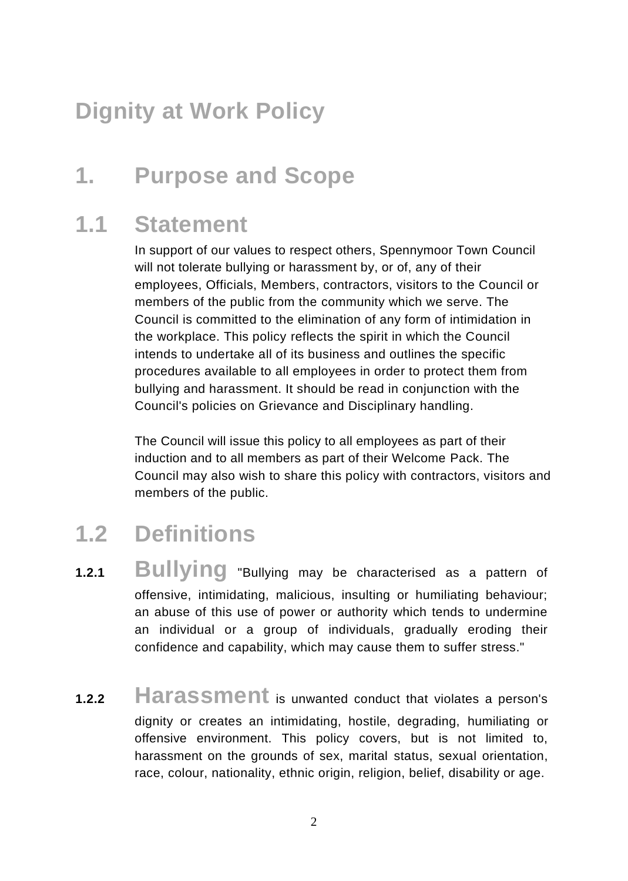# **Dignity at Work Policy**

#### **1. Purpose and Scope**

#### **1.1 Statement**

In support of our values to respect others, Spennymoor Town Council will not tolerate bullying or harassment by, or of, any of their employees, Officials, Members, contractors, visitors to the Council or members of the public from the community which we serve. The Council is committed to the elimination of any form of intimidation in the workplace. This policy reflects the spirit in which the Council intends to undertake all of its business and outlines the specific procedures available to all employees in order to protect them from bullying and harassment. It should be read in conjunction with the Council's policies on Grievance and Disciplinary handling.

The Council will issue this policy to all employees as part of their induction and to all members as part of their Welcome Pack. The Council may also wish to share this policy with contractors, visitors and members of the public.

#### **1.2 Definitions**

- **1.2.1 Bullying** "Bullying may be characterised as a pattern of offensive, intimidating, malicious, insulting or humiliating behaviour; an abuse of this use of power or authority which tends to undermine an individual or a group of individuals, gradually eroding their confidence and capability, which may cause them to suffer stress."
- **1.2.2 Harassment** is unwanted conduct that violates a person's dignity or creates an intimidating, hostile, degrading, humiliating or offensive environment. This policy covers, but is not limited to, harassment on the grounds of sex, marital status, sexual orientation, race, colour, nationality, ethnic origin, religion, belief, disability or age.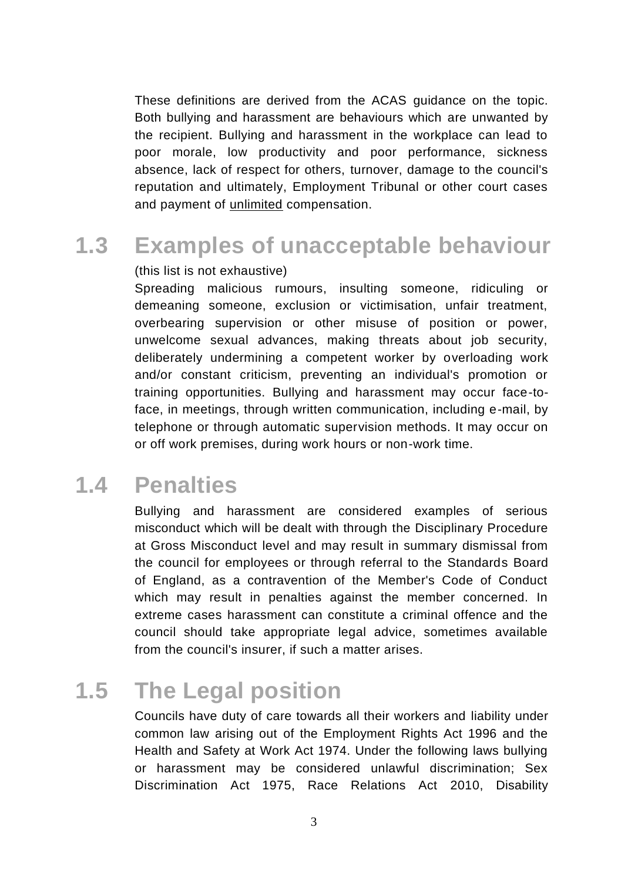These definitions are derived from the ACAS guidance on the topic. Both bullying and harassment are behaviours which are unwanted by the recipient. Bullying and harassment in the workplace can lead to poor morale, low productivity and poor performance, sickness absence, lack of respect for others, turnover, damage to the council's reputation and ultimately, Employment Tribunal or other court cases and payment of unlimited compensation.

# **1.3 Examples of unacceptable behaviour**

#### (this list is not exhaustive)

Spreading malicious rumours, insulting someone, ridiculing or demeaning someone, exclusion or victimisation, unfair treatment, overbearing supervision or other misuse of position or power, unwelcome sexual advances, making threats about job security, deliberately undermining a competent worker by overloading work and/or constant criticism, preventing an individual's promotion or training opportunities. Bullying and harassment may occur face-toface, in meetings, through written communication, including e-mail, by telephone or through automatic supervision methods. It may occur on or off work premises, during work hours or non-work time.

#### **1.4 Penalties**

Bullying and harassment are considered examples of serious misconduct which will be dealt with through the Disciplinary Procedure at Gross Misconduct level and may result in summary dismissal from the council for employees or through referral to the Standards Board of England, as a contravention of the Member's Code of Conduct which may result in penalties against the member concerned. In extreme cases harassment can constitute a criminal offence and the council should take appropriate legal advice, sometimes available from the council's insurer, if such a matter arises.

# **1.5 The Legal position**

Councils have duty of care towards all their workers and liability under common law arising out of the Employment Rights Act 1996 and the Health and Safety at Work Act 1974. Under the following laws bullying or harassment may be considered unlawful discrimination; Sex Discrimination Act 1975, Race Relations Act 2010, Disability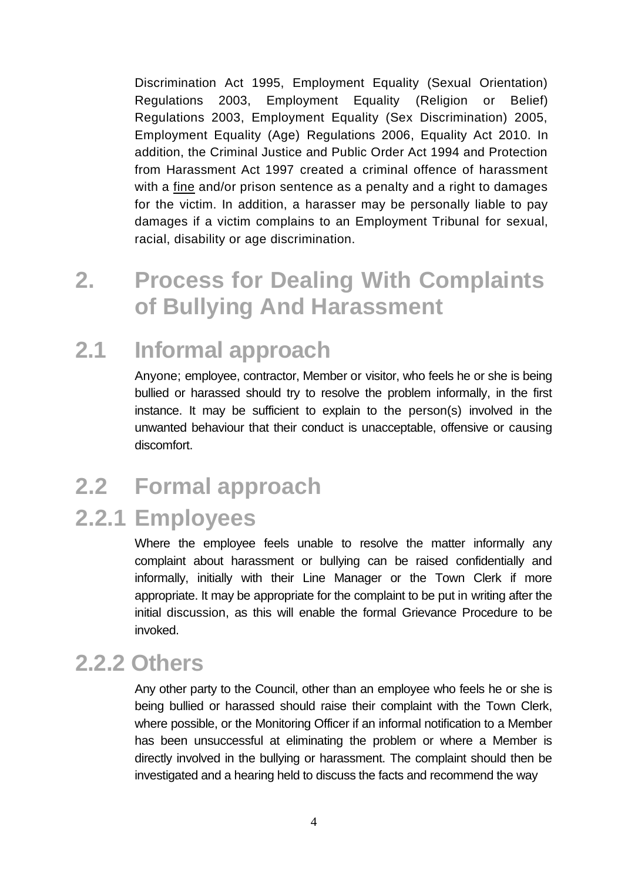Discrimination Act 1995, Employment Equality (Sexual Orientation) Regulations 2003, Employment Equality (Religion or Belief) Regulations 2003, Employment Equality (Sex Discrimination) 2005, Employment Equality (Age) Regulations 2006, Equality Act 2010. In addition, the Criminal Justice and Public Order Act 1994 and Protection from Harassment Act 1997 created a criminal offence of harassment with a fine and/or prison sentence as a penalty and a right to damages for the victim. In addition, a harasser may be personally liable to pay damages if a victim complains to an Employment Tribunal for sexual, racial, disability or age discrimination.

# **2. Process for Dealing With Complaints of Bullying And Harassment**

# **2.1 Informal approach**

Anyone; employee, contractor, Member or visitor, who feels he or she is being bullied or harassed should try to resolve the problem informally, in the first instance. It may be sufficient to explain to the person(s) involved in the unwanted behaviour that their conduct is unacceptable, offensive or causing discomfort.

# **2.2 Formal approach**

#### **2.2.1 Employees**

Where the employee feels unable to resolve the matter informally any complaint about harassment or bullying can be raised confidentially and informally, initially with their Line Manager or the Town Clerk if more appropriate. It may be appropriate for the complaint to be put in writing after the initial discussion, as this will enable the formal Grievance Procedure to be invoked.

# **2.2.2 Others**

Any other party to the Council, other than an employee who feels he or she is being bullied or harassed should raise their complaint with the Town Clerk, where possible, or the Monitoring Officer if an informal notification to a Member has been unsuccessful at eliminating the problem or where a Member is directly involved in the bullying or harassment. The complaint should then be investigated and a hearing held to discuss the facts and recommend the way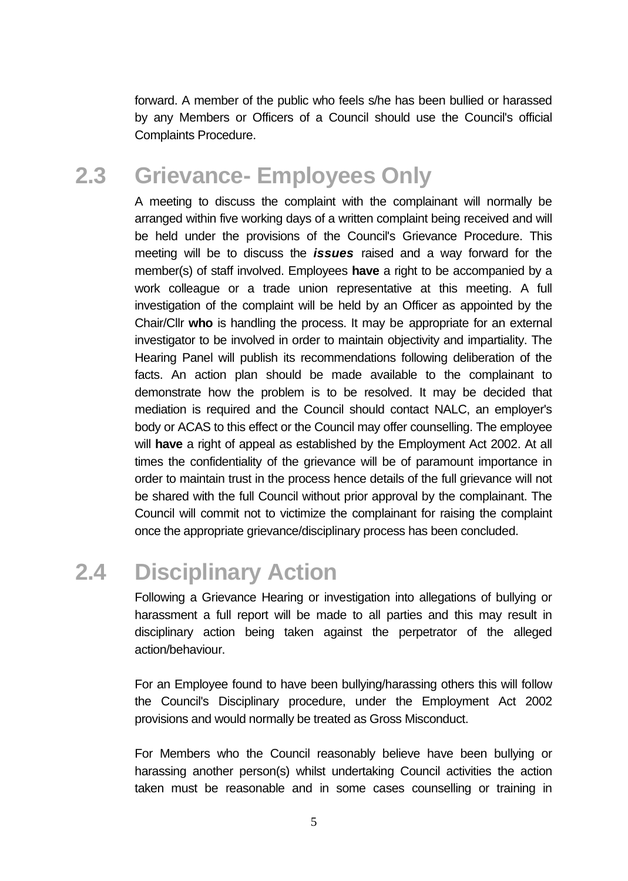forward. A member of the public who feels s/he has been bullied or harassed by any Members or Officers of a Council should use the Council's official Complaints Procedure.

#### **2.3 Grievance- Employees Only**

A meeting to discuss the complaint with the complainant will normally be arranged within five working days of a written complaint being received and will be held under the provisions of the Council's Grievance Procedure. This meeting will be to discuss the *issues* raised and a way forward for the member(s) of staff involved. Employees **have** a right to be accompanied by a work colleague or a trade union representative at this meeting. A full investigation of the complaint will be held by an Officer as appointed by the Chair/Cllr **who** is handling the process. It may be appropriate for an external investigator to be involved in order to maintain objectivity and impartiality. The Hearing Panel will publish its recommendations following deliberation of the facts. An action plan should be made available to the complainant to demonstrate how the problem is to be resolved. It may be decided that mediation is required and the Council should contact NALC, an employer's body or ACAS to this effect or the Council may offer counselling. The employee will **have** a right of appeal as established by the Employment Act 2002. At all times the confidentiality of the grievance will be of paramount importance in order to maintain trust in the process hence details of the full grievance will not be shared with the full Council without prior approval by the complainant. The Council will commit not to victimize the complainant for raising the complaint once the appropriate grievance/disciplinary process has been concluded.

# **2.4 Disciplinary Action**

Following a Grievance Hearing or investigation into allegations of bullying or harassment a full report will be made to all parties and this may result in disciplinary action being taken against the perpetrator of the alleged action/behaviour.

For an Employee found to have been bullying/harassing others this will follow the Council's Disciplinary procedure, under the Employment Act 2002 provisions and would normally be treated as Gross Misconduct.

For Members who the Council reasonably believe have been bullying or harassing another person(s) whilst undertaking Council activities the action taken must be reasonable and in some cases counselling or training in